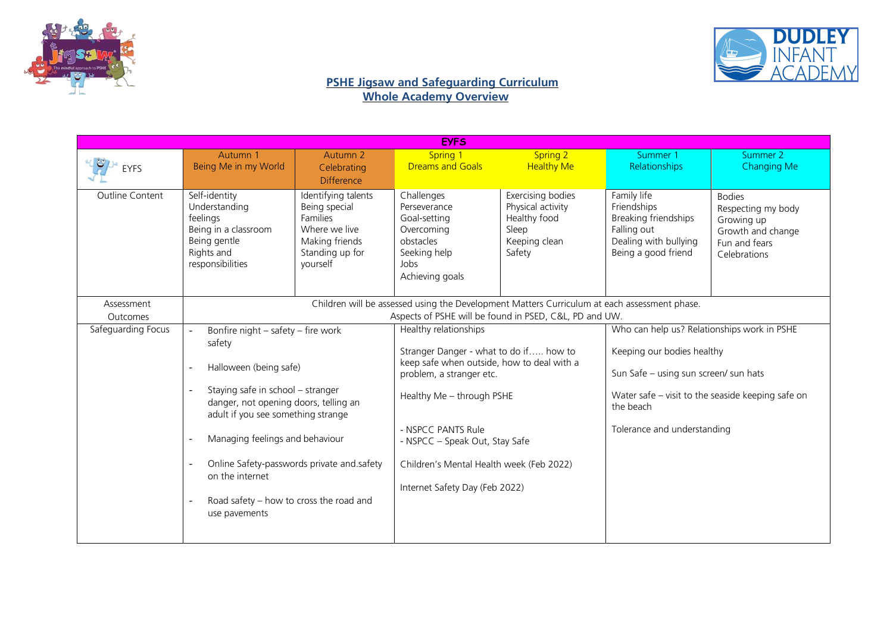



| <b>EYFS</b>            |                                                                                                                                                        |                                                                                                                                                                                                                                                                                                                                                                                                                                                                |                                                                                                                  |                                                                                                                                  |                                                                                                                                                                                                                     |                                                                                                         |
|------------------------|--------------------------------------------------------------------------------------------------------------------------------------------------------|----------------------------------------------------------------------------------------------------------------------------------------------------------------------------------------------------------------------------------------------------------------------------------------------------------------------------------------------------------------------------------------------------------------------------------------------------------------|------------------------------------------------------------------------------------------------------------------|----------------------------------------------------------------------------------------------------------------------------------|---------------------------------------------------------------------------------------------------------------------------------------------------------------------------------------------------------------------|---------------------------------------------------------------------------------------------------------|
| <b>EYFS</b>            | Autumn 1<br>Being Me in my World                                                                                                                       | Autumn 2<br>Celebrating<br><b>Difference</b>                                                                                                                                                                                                                                                                                                                                                                                                                   | <b>Spring 1</b><br><b>Dreams and Goals</b>                                                                       | <b>Spring 2</b><br><b>Healthy Me</b>                                                                                             | Summer 1<br>Relationships                                                                                                                                                                                           | Summer 2<br><b>Changing Me</b>                                                                          |
| <b>Outline Content</b> | Self-identity<br>Understanding<br>feelings<br>Being in a classroom<br>Being gentle<br>Rights and<br>responsibilities                                   | Identifying talents<br>Being special<br><b>Families</b><br>Where we live<br>Making friends<br>Standing up for<br>yourself                                                                                                                                                                                                                                                                                                                                      | Challenges<br>Perseverance<br>Goal-setting<br>Overcoming<br>obstacles<br>Seeking help<br>Jobs<br>Achieving goals | Exercising bodies<br>Physical activity<br>Healthy food<br>Sleep<br>Keeping clean<br>Safety                                       | Family life<br>Friendships<br>Breaking friendships<br>Falling out<br>Dealing with bullying<br>Being a good friend                                                                                                   | <b>Bodies</b><br>Respecting my body<br>Growing up<br>Growth and change<br>Fun and fears<br>Celebrations |
| Assessment<br>Outcomes | Children will be assessed using the Development Matters Curriculum at each assessment phase.<br>Aspects of PSHE will be found in PSED, C&L, PD and UW. |                                                                                                                                                                                                                                                                                                                                                                                                                                                                |                                                                                                                  |                                                                                                                                  |                                                                                                                                                                                                                     |                                                                                                         |
| Safeguarding Focus     | $\overline{a}$<br>safety<br>Halloween (being safe)<br>$\overline{\phantom{a}}$<br>$\overline{\phantom{a}}$<br>on the internet<br>use pavements         | Healthy relationships<br>Bonfire night - safety - fire work<br>problem, a stranger etc.<br>Staying safe in school - stranger<br>Healthy Me - through PSHE<br>danger, not opening doors, telling an<br>adult if you see something strange<br>- NSPCC PANTS Rule<br>Managing feelings and behaviour<br>- NSPCC - Speak Out, Stay Safe<br>Online Safety-passwords private and safety<br>Internet Safety Day (Feb 2022)<br>Road safety - how to cross the road and |                                                                                                                  | Stranger Danger - what to do if how to<br>keep safe when outside, how to deal with a<br>Children's Mental Health week (Feb 2022) | Who can help us? Relationships work in PSHE<br>Keeping our bodies healthy<br>Sun Safe - using sun screen/ sun hats<br>Water safe - visit to the seaside keeping safe on<br>the beach<br>Tolerance and understanding |                                                                                                         |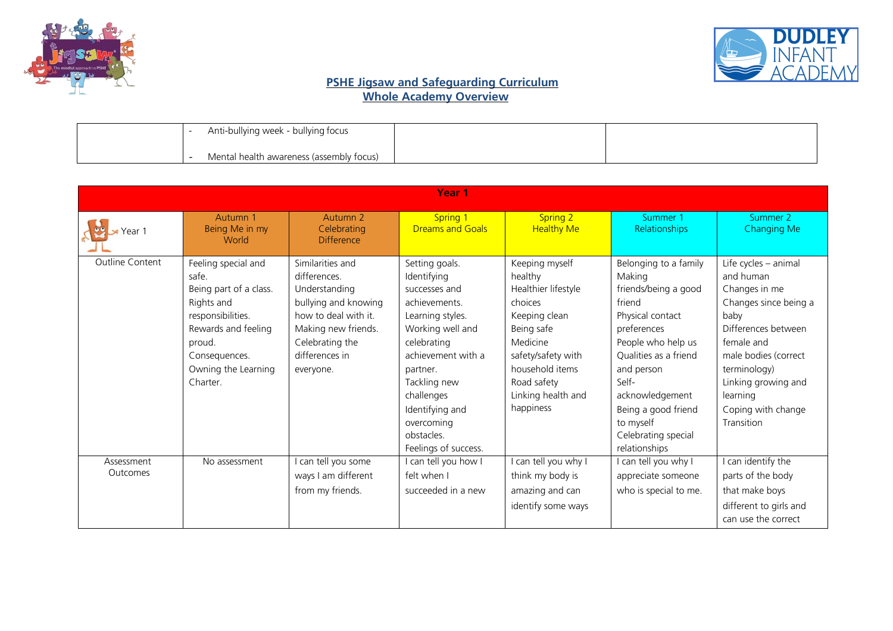



| Anti-bullying week - bullying focus      |  |
|------------------------------------------|--|
| Mental health awareness (assembly focus) |  |

| Year <sub>1</sub>             |                                                                                                                                                                                |                                                                                                                                                                            |                                                                                                                                                                                                                                                               |                                                                                                                                                                                                   |                                                                                                                                                                                                                                                                           |                                                                                                                                                                                                                                         |
|-------------------------------|--------------------------------------------------------------------------------------------------------------------------------------------------------------------------------|----------------------------------------------------------------------------------------------------------------------------------------------------------------------------|---------------------------------------------------------------------------------------------------------------------------------------------------------------------------------------------------------------------------------------------------------------|---------------------------------------------------------------------------------------------------------------------------------------------------------------------------------------------------|---------------------------------------------------------------------------------------------------------------------------------------------------------------------------------------------------------------------------------------------------------------------------|-----------------------------------------------------------------------------------------------------------------------------------------------------------------------------------------------------------------------------------------|
| $\blacktriangleright$ Year 1  | Autumn 1<br>Being Me in my<br>World                                                                                                                                            | Autumn <sub>2</sub><br>Celebrating<br><b>Difference</b>                                                                                                                    | <b>Spring 1</b><br><b>Dreams and Goals</b>                                                                                                                                                                                                                    | Spring 2<br><b>Healthy Me</b>                                                                                                                                                                     | Summer 1<br>Relationships                                                                                                                                                                                                                                                 | Summer 2<br><b>Changing Me</b>                                                                                                                                                                                                          |
| <b>Outline Content</b>        | Feeling special and<br>safe.<br>Being part of a class.<br>Rights and<br>responsibilities.<br>Rewards and feeling<br>proud.<br>Consequences.<br>Owning the Learning<br>Charter. | Similarities and<br>differences.<br>Understanding<br>bullying and knowing<br>how to deal with it.<br>Making new friends.<br>Celebrating the<br>differences in<br>everyone. | Setting goals.<br>Identifying<br>successes and<br>achievements.<br>Learning styles.<br>Working well and<br>celebrating<br>achievement with a<br>partner.<br>Tackling new<br>challenges<br>Identifying and<br>overcoming<br>obstacles.<br>Feelings of success. | Keeping myself<br>healthy<br>Healthier lifestyle<br>choices<br>Keeping clean<br>Being safe<br>Medicine<br>safety/safety with<br>household items<br>Road safety<br>Linking health and<br>happiness | Belonging to a family<br>Making<br>friends/being a good<br>friend<br>Physical contact<br>preferences<br>People who help us<br>Qualities as a friend<br>and person<br>Self-<br>acknowledgement<br>Being a good friend<br>to myself<br>Celebrating special<br>relationships | Life cycles - animal<br>and human<br>Changes in me<br>Changes since being a<br>baby<br>Differences between<br>female and<br>male bodies (correct<br>terminology)<br>Linking growing and<br>learning<br>Coping with change<br>Transition |
| Assessment<br><b>Outcomes</b> | No assessment                                                                                                                                                                  | can tell you some<br>ways I am different<br>from my friends.                                                                                                               | I can tell you how I<br>felt when I<br>succeeded in a new                                                                                                                                                                                                     | can tell you why I<br>think my body is<br>amazing and can<br>identify some ways                                                                                                                   | I can tell you why I<br>appreciate someone<br>who is special to me.                                                                                                                                                                                                       | I can identify the<br>parts of the body<br>that make boys<br>different to girls and<br>can use the correct                                                                                                                              |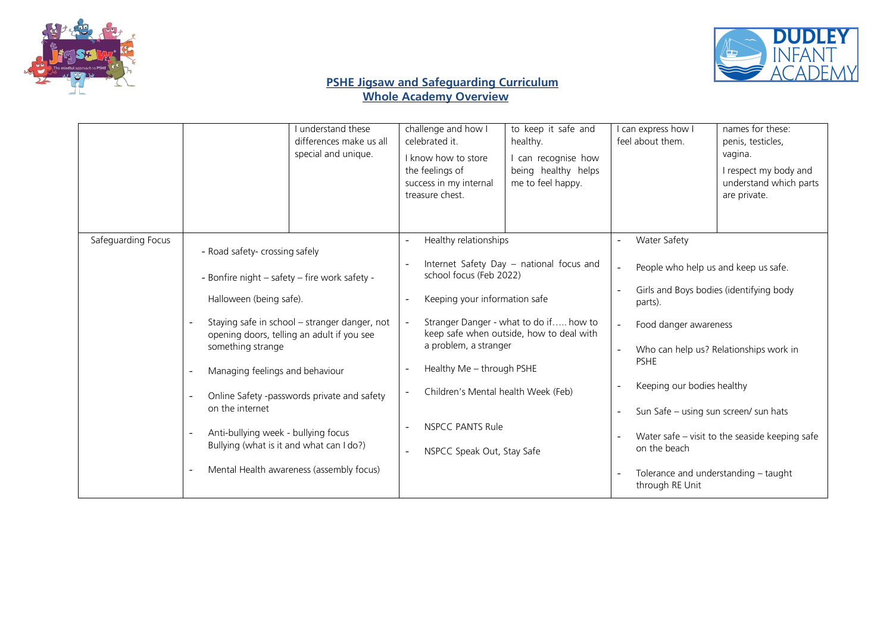



|                    | I understand these<br>differences make us all<br>special and unique.                                                                                                                                                                                                                                                                                                                                                                                                                                                       | challenge and how I<br>to keep it safe and<br>celebrated it.<br>healthy.<br>I know how to store<br>I can recognise how<br>being healthy helps<br>the feelings of<br>me to feel happy.<br>success in my internal<br>treasure chest.                                                                                                                                        | I can express how I<br>names for these:<br>feel about them.<br>penis, testicles,<br>vagina.<br>I respect my body and<br>understand which parts<br>are private.                                                                                                                                                                                                                                   |
|--------------------|----------------------------------------------------------------------------------------------------------------------------------------------------------------------------------------------------------------------------------------------------------------------------------------------------------------------------------------------------------------------------------------------------------------------------------------------------------------------------------------------------------------------------|---------------------------------------------------------------------------------------------------------------------------------------------------------------------------------------------------------------------------------------------------------------------------------------------------------------------------------------------------------------------------|--------------------------------------------------------------------------------------------------------------------------------------------------------------------------------------------------------------------------------------------------------------------------------------------------------------------------------------------------------------------------------------------------|
| Safeguarding Focus | - Road safety- crossing safely<br>- Bonfire night - safety - fire work safety -<br>Halloween (being safe).<br>Staying safe in school - stranger danger, not<br>opening doors, telling an adult if you see<br>something strange<br>Managing feelings and behaviour<br>$\overline{\phantom{0}}$<br>Online Safety -passwords private and safety<br>on the internet<br>Anti-bullying week - bullying focus<br>$\overline{\phantom{a}}$<br>Bullying (what is it and what can I do?)<br>Mental Health awareness (assembly focus) | Healthy relationships<br>Internet Safety Day - national focus and<br>school focus (Feb 2022)<br>Keeping your information safe<br>Stranger Danger - what to do if how to<br>keep safe when outside, how to deal with<br>a problem, a stranger<br>Healthy Me - through PSHE<br>Children's Mental health Week (Feb)<br><b>NSPCC PANTS Rule</b><br>NSPCC Speak Out, Stay Safe | Water Safety<br>People who help us and keep us safe.<br>Girls and Boys bodies (identifying body<br>parts).<br>Food danger awareness<br>Who can help us? Relationships work in<br><b>PSHE</b><br>Keeping our bodies healthy<br>Sun Safe - using sun screen/ sun hats<br>Water safe – visit to the seaside keeping safe<br>on the beach<br>Tolerance and understanding - taught<br>through RE Unit |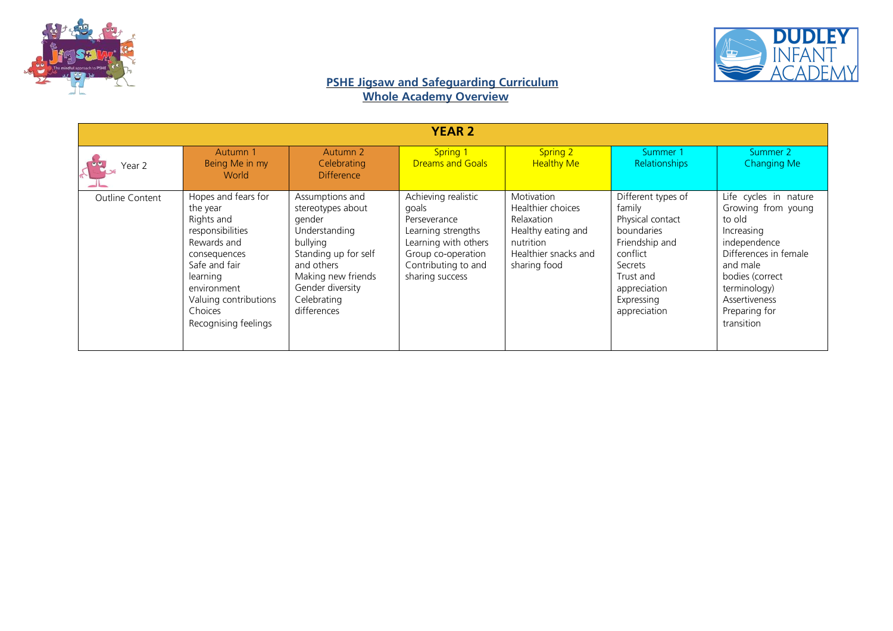



| <b>YEAR 2</b>          |                                                                                                                                                                                                          |                                                                                                                                                                                           |                                                                                                                                                            |                                                                                                                                 |                                                                                                                                                                    |                                                                                                                                                                                                             |
|------------------------|----------------------------------------------------------------------------------------------------------------------------------------------------------------------------------------------------------|-------------------------------------------------------------------------------------------------------------------------------------------------------------------------------------------|------------------------------------------------------------------------------------------------------------------------------------------------------------|---------------------------------------------------------------------------------------------------------------------------------|--------------------------------------------------------------------------------------------------------------------------------------------------------------------|-------------------------------------------------------------------------------------------------------------------------------------------------------------------------------------------------------------|
| Year 2                 | Autumn 1<br>Being Me in my<br>World                                                                                                                                                                      | Autumn 2<br>Celebrating<br><b>Difference</b>                                                                                                                                              | <b>Spring 1</b><br><b>Dreams and Goals</b>                                                                                                                 | <b>Spring 2</b><br><b>Healthy Me</b>                                                                                            | Summer 1<br><b>Relationships</b>                                                                                                                                   | Summer 2<br>Changing Me                                                                                                                                                                                     |
| <b>Outline Content</b> | Hopes and fears for<br>the year<br>Rights and<br>responsibilities<br>Rewards and<br>consequences<br>Safe and fair<br>learning<br>environment<br>Valuing contributions<br>Choices<br>Recognising feelings | Assumptions and<br>stereotypes about<br>gender<br>Understanding<br>bullying<br>Standing up for self<br>and others<br>Making new friends<br>Gender diversity<br>Celebrating<br>differences | Achieving realistic<br>goals<br>Perseverance<br>Learning strengths<br>Learning with others<br>Group co-operation<br>Contributing to and<br>sharing success | <b>Motivation</b><br>Healthier choices<br>Relaxation<br>Healthy eating and<br>nutrition<br>Healthier snacks and<br>sharing food | Different types of<br>family<br>Physical contact<br>boundaries<br>Friendship and<br>conflict<br>Secrets<br>Trust and<br>appreciation<br>Expressing<br>appreciation | Life cycles in nature<br>Growing from young<br>to old<br>Increasing<br>independence<br>Differences in female<br>and male<br>bodies (correct<br>terminology)<br>Assertiveness<br>Preparing for<br>transition |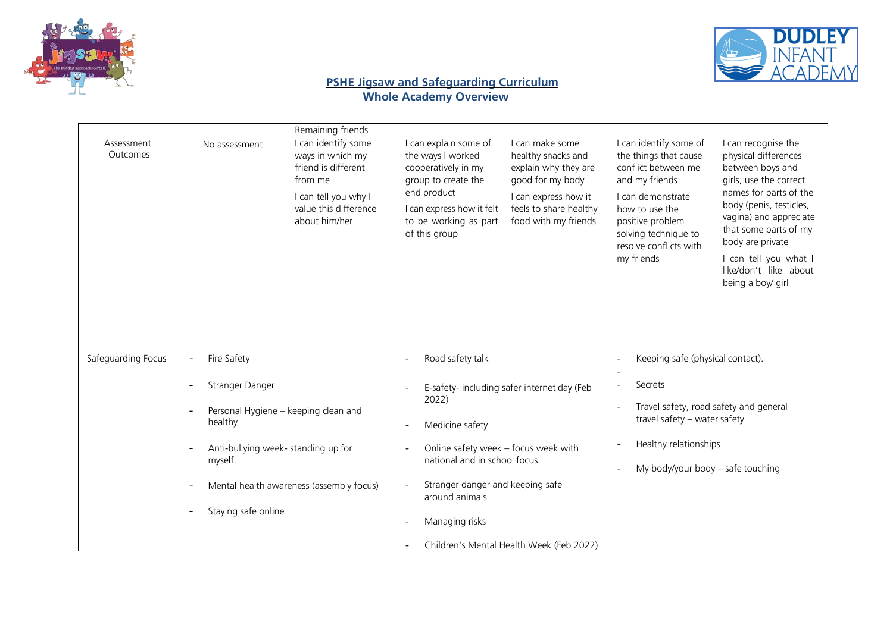



|                        |                                                                                                                                                                                                     | Remaining friends                                                                                                                           |                                                                                                                                                                                                      |                                                                                                                                                             |                                                                                                                                                                                                                     |                                                                                                                                                                                                                                                                                              |
|------------------------|-----------------------------------------------------------------------------------------------------------------------------------------------------------------------------------------------------|---------------------------------------------------------------------------------------------------------------------------------------------|------------------------------------------------------------------------------------------------------------------------------------------------------------------------------------------------------|-------------------------------------------------------------------------------------------------------------------------------------------------------------|---------------------------------------------------------------------------------------------------------------------------------------------------------------------------------------------------------------------|----------------------------------------------------------------------------------------------------------------------------------------------------------------------------------------------------------------------------------------------------------------------------------------------|
| Assessment<br>Outcomes | No assessment                                                                                                                                                                                       | I can identify some<br>ways in which my<br>friend is different<br>from me<br>I can tell you why I<br>value this difference<br>about him/her | I can explain some of<br>the ways I worked<br>cooperatively in my<br>group to create the<br>end product<br>I can express how it felt<br>to be working as part<br>of this group                       | I can make some<br>healthy snacks and<br>explain why they are<br>good for my body<br>I can express how it<br>feels to share healthy<br>food with my friends | I can identify some of<br>the things that cause<br>conflict between me<br>and my friends<br>I can demonstrate<br>how to use the<br>positive problem<br>solving technique to<br>resolve conflicts with<br>my friends | I can recognise the<br>physical differences<br>between boys and<br>girls, use the correct<br>names for parts of the<br>body (penis, testicles,<br>vagina) and appreciate<br>that some parts of my<br>body are private<br>I can tell you what I<br>like/don't like about<br>being a boy/ girl |
| Safeguarding Focus     | Fire Safety<br>$\qquad \qquad \blacksquare$                                                                                                                                                         |                                                                                                                                             | Road safety talk                                                                                                                                                                                     |                                                                                                                                                             | Keeping safe (physical contact).                                                                                                                                                                                    |                                                                                                                                                                                                                                                                                              |
|                        | Stranger Danger<br>Personal Hygiene - keeping clean and<br>healthy<br>Anti-bullying week- standing up for<br>myself.<br>$\overline{\phantom{a}}$<br>Staying safe online<br>$\overline{\phantom{a}}$ | Mental health awareness (assembly focus)                                                                                                    | 2022)<br>Medicine safety<br>$\overline{\phantom{a}}$<br>Online safety week - focus week with<br>national and in school focus<br>Stranger danger and keeping safe<br>around animals<br>Managing risks | E-safety- including safer internet day (Feb<br>Children's Mental Health Week (Feb 2022)                                                                     | Secrets<br>Travel safety, road safety and general<br>travel safety - water safety<br>Healthy relationships<br>My body/your body - safe touching                                                                     |                                                                                                                                                                                                                                                                                              |